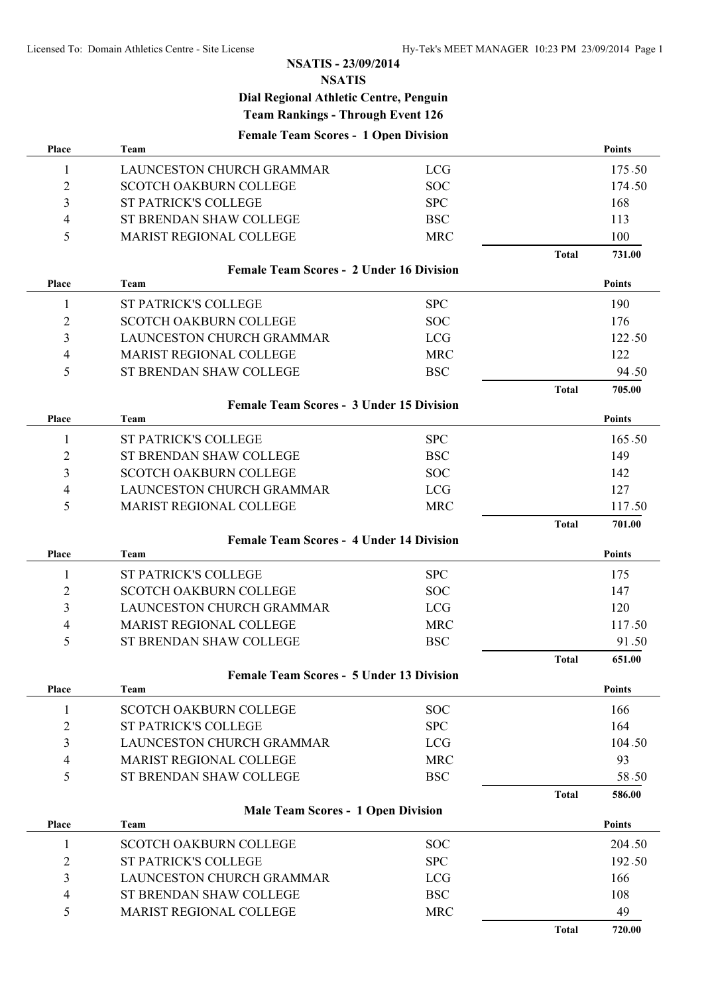## **NSATIS - 23/09/2014**

**NSATIS**

## **Dial Regional Athletic Centre, Penguin Team Rankings - Through Event 126**

**Female Team Scores - 1 Open Division**

| Place          | Team                                            |            |              | Points        |
|----------------|-------------------------------------------------|------------|--------------|---------------|
| 1              | LAUNCESTON CHURCH GRAMMAR                       | <b>LCG</b> |              | 175.50        |
| $\overline{2}$ | <b>SCOTCH OAKBURN COLLEGE</b>                   | <b>SOC</b> |              | 174.50        |
| 3              | <b>ST PATRICK'S COLLEGE</b>                     | <b>SPC</b> |              | 168           |
| 4              | ST BRENDAN SHAW COLLEGE                         | <b>BSC</b> |              | 113           |
| 5              | <b>MARIST REGIONAL COLLEGE</b>                  | <b>MRC</b> |              | 100           |
|                |                                                 |            | <b>Total</b> | 731.00        |
|                | <b>Female Team Scores - 2 Under 16 Division</b> |            |              |               |
| <b>Place</b>   | <b>Team</b>                                     |            |              | <b>Points</b> |
| 1              | <b>ST PATRICK'S COLLEGE</b>                     | <b>SPC</b> |              | 190           |
| 2              | <b>SCOTCH OAKBURN COLLEGE</b>                   | <b>SOC</b> |              | 176           |
| 3              | LAUNCESTON CHURCH GRAMMAR                       | <b>LCG</b> |              | 122.50        |
| 4              | MARIST REGIONAL COLLEGE                         | <b>MRC</b> |              | 122           |
| 5              | ST BRENDAN SHAW COLLEGE                         | <b>BSC</b> |              | 94.50         |
|                |                                                 |            | <b>Total</b> | 705.00        |
|                | <b>Female Team Scores - 3 Under 15 Division</b> |            |              |               |
| Place          | Team                                            |            |              | <b>Points</b> |
| 1              | <b>ST PATRICK'S COLLEGE</b>                     | <b>SPC</b> |              | 165.50        |
| 2              | ST BRENDAN SHAW COLLEGE                         | <b>BSC</b> |              | 149           |
| 3              | <b>SCOTCH OAKBURN COLLEGE</b>                   | <b>SOC</b> |              | 142           |
| 4              | LAUNCESTON CHURCH GRAMMAR                       | <b>LCG</b> |              | 127           |
| 5              | MARIST REGIONAL COLLEGE                         | <b>MRC</b> |              | 117.50        |
|                |                                                 |            | <b>Total</b> | 701.00        |
|                | <b>Female Team Scores - 4 Under 14 Division</b> |            |              |               |
| Place          | Team                                            |            |              | <b>Points</b> |
| 1              | <b>ST PATRICK'S COLLEGE</b>                     | <b>SPC</b> |              | 175           |
| 2              | <b>SCOTCH OAKBURN COLLEGE</b>                   | <b>SOC</b> |              | 147           |
| 3              | LAUNCESTON CHURCH GRAMMAR                       | <b>LCG</b> |              | 120           |
| 4              | <b>MARIST REGIONAL COLLEGE</b>                  | <b>MRC</b> |              | 117.50        |
| 5              | ST BRENDAN SHAW COLLEGE                         | <b>BSC</b> |              | 91.50         |
|                |                                                 |            | <b>Total</b> | 651.00        |
|                | <b>Female Team Scores - 5 Under 13 Division</b> |            |              |               |
| Place          | Team                                            |            |              | <b>Points</b> |
| 1              | <b>SCOTCH OAKBURN COLLEGE</b>                   | <b>SOC</b> |              | 166           |
| $\overline{2}$ | <b>ST PATRICK'S COLLEGE</b>                     | <b>SPC</b> |              | 164           |
| 3              | LAUNCESTON CHURCH GRAMMAR                       | <b>LCG</b> |              | 104.50        |
| 4              | MARIST REGIONAL COLLEGE                         | <b>MRC</b> |              | 93            |
| 5              | ST BRENDAN SHAW COLLEGE                         | <b>BSC</b> |              | 58.50         |
|                |                                                 |            | <b>Total</b> | 586.00        |
|                | <b>Male Team Scores - 1 Open Division</b>       |            |              |               |
| Place          | Team                                            |            |              | <b>Points</b> |
| 1              | <b>SCOTCH OAKBURN COLLEGE</b>                   | <b>SOC</b> |              | 204.50        |
| 2              | <b>ST PATRICK'S COLLEGE</b>                     | <b>SPC</b> |              | 192.50        |
| 3              | LAUNCESTON CHURCH GRAMMAR                       | <b>LCG</b> |              | 166           |
| 4              | ST BRENDAN SHAW COLLEGE                         | <b>BSC</b> |              | 108           |
| 5              | MARIST REGIONAL COLLEGE                         | <b>MRC</b> |              | 49            |
|                |                                                 |            | <b>Total</b> | 720.00        |